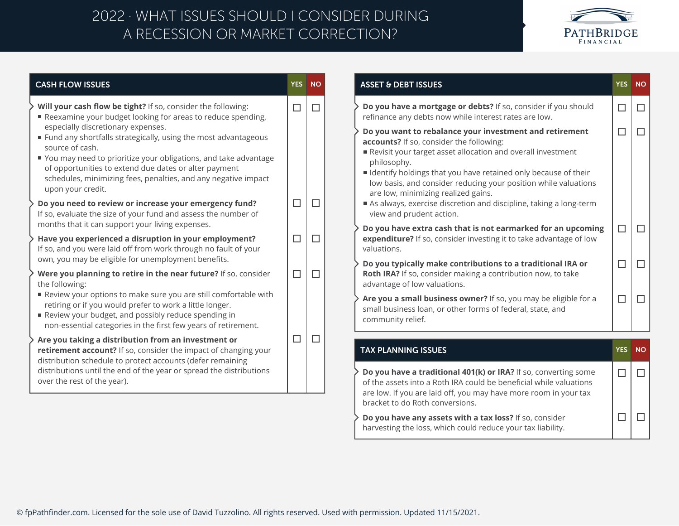## A RECESSION OR MARKET CORRECTION? 2022 · WHAT ISSUES SHOULD I CONSIDER DURING



| <b>CASH FLOW ISSUES</b>                                                                                                                                                                                                                                                                                                                        |        | YES NO |
|------------------------------------------------------------------------------------------------------------------------------------------------------------------------------------------------------------------------------------------------------------------------------------------------------------------------------------------------|--------|--------|
| Will your cash flow be tight? If so, consider the following:<br>Reexamine your budget looking for areas to reduce spending,                                                                                                                                                                                                                    | $\Box$ | □      |
| especially discretionary expenses.<br>■ Fund any shortfalls strategically, using the most advantageous<br>source of cash.<br>■ You may need to prioritize your obligations, and take advantage<br>of opportunities to extend due dates or alter payment<br>schedules, minimizing fees, penalties, and any negative impact<br>upon your credit. |        |        |
| Do you need to review or increase your emergency fund?<br>If so, evaluate the size of your fund and assess the number of<br>months that it can support your living expenses.                                                                                                                                                                   | $\Box$ | $\Box$ |
| Have you experienced a disruption in your employment?<br>If so, and you were laid off from work through no fault of your<br>own, you may be eligible for unemployment benefits.                                                                                                                                                                | $\Box$ | П      |
| Were you planning to retire in the near future? If so, consider<br>the following:                                                                                                                                                                                                                                                              | $\Box$ | $\Box$ |
| Review your options to make sure you are still comfortable with<br>retiring or if you would prefer to work a little longer.<br>Review your budget, and possibly reduce spending in<br>non-essential categories in the first few years of retirement.                                                                                           |        |        |
| Are you taking a distribution from an investment or<br>retirement account? If so, consider the impact of changing your                                                                                                                                                                                                                         | $\Box$ | $\Box$ |
| distribution schedule to protect accounts (defer remaining<br>distributions until the end of the year or spread the distributions<br>over the rest of the year).                                                                                                                                                                               |        |        |
|                                                                                                                                                                                                                                                                                                                                                |        |        |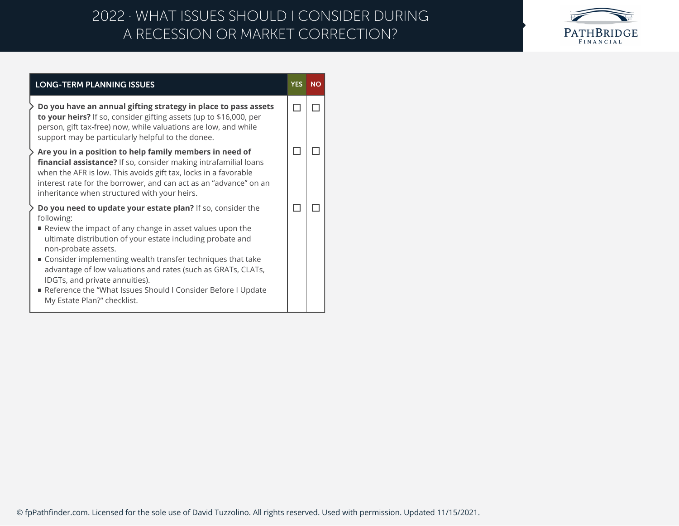## A RECESSION OR MARKET CORRECTION? 2022 · WHAT ISSUES SHOULD I CONSIDER DURING



| <b>LONG-TERM PLANNING ISSUES</b>                                                                                                                                                                                                                                                                                                                                                                                                                                                            | <b>YES</b> | <b>NO</b> |
|---------------------------------------------------------------------------------------------------------------------------------------------------------------------------------------------------------------------------------------------------------------------------------------------------------------------------------------------------------------------------------------------------------------------------------------------------------------------------------------------|------------|-----------|
| Do you have an annual gifting strategy in place to pass assets<br>to your heirs? If so, consider gifting assets (up to \$16,000, per<br>person, gift tax-free) now, while valuations are low, and while<br>support may be particularly helpful to the donee.                                                                                                                                                                                                                                |            |           |
| Are you in a position to help family members in need of<br>financial assistance? If so, consider making intrafamilial loans<br>when the AFR is low. This avoids gift tax, locks in a favorable<br>interest rate for the borrower, and can act as an "advance" on an<br>inheritance when structured with your heirs.                                                                                                                                                                         |            |           |
| Do you need to update your estate plan? If so, consider the<br>following:<br>Review the impact of any change in asset values upon the<br>ultimate distribution of your estate including probate and<br>non-probate assets.<br>■ Consider implementing wealth transfer techniques that take<br>advantage of low valuations and rates (such as GRATs, CLATs,<br>IDGTs, and private annuities).<br>Reference the "What Issues Should I Consider Before I Update<br>My Estate Plan?" checklist. |            |           |